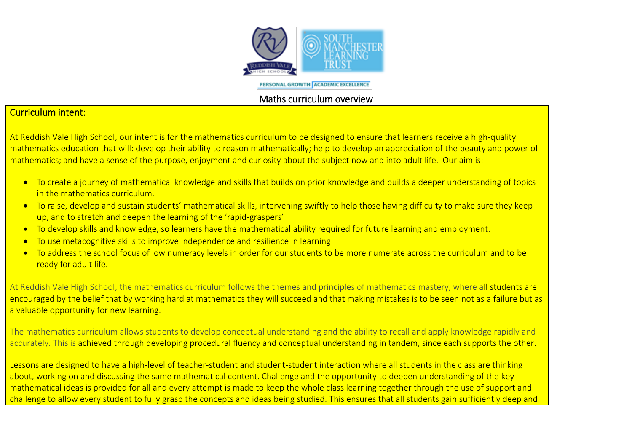

PERSONAL GROWTH ACADEMIC EXCELLENCE

## Maths curriculum overview

## Curriculum intent:

At Reddish Vale High School, our intent is for the mathematics curriculum to be designed to ensure that learners receive a high-quality mathematics education that will: develop their ability to reason mathematically; help to develop an appreciation of the beauty and power of mathematics; and have a sense of the purpose, enjoyment and curiosity about the subject now and into adult life. Our aim is:

- To create a journey of mathematical knowledge and skills that builds on prior knowledge and builds a deeper understanding of topics in the mathematics curriculum.
- To raise, develop and sustain students' mathematical skills, intervening swiftly to help those having difficulty to make sure they keep up, and to stretch and deepen the learning of the 'rapid-graspers'
- To develop skills and knowledge, so learners have the mathematical ability required for future learning and employment.
- To use metacognitive skills to improve independence and resilience in learning
- To address the school focus of low numeracy levels in order for our students to be more numerate across the curriculum and to be ready for adult life.

At Reddish Vale High School, the mathematics curriculum follows the themes and principles of mathematics mastery, where all students are encouraged by the belief that by working hard at mathematics they will succeed and that making mistakes is to be seen not as a failure but as a valuable opportunity for new learning.

The mathematics curriculum allows students to develop conceptual understanding and the ability to recall and apply knowledge rapidly and accurately. This is achieved through developing procedural fluency and conceptual understanding in tandem, since each supports the other.

Lessons are designed to have a high-level of teacher-student and student-student interaction where all students in the class are thinking about, working on and discussing the same mathematical content. Challenge and the opportunity to deepen understanding of the key mathematical ideas is provided for all and every attempt is made to keep the whole class learning together through the use of support and challenge to allow every student to fully grasp the concepts and ideas being studied. This ensures that all students gain sufficiently deep and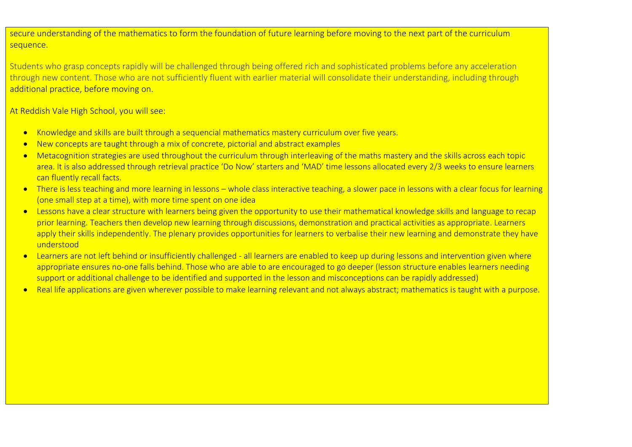secure understanding of the mathematics to form the foundation of future learning before moving to the next part of the curriculum sequence.

Students who grasp concepts rapidly will be challenged through being offered rich and sophisticated problems before any acceleration through new content. Those who are not sufficiently fluent with earlier material will consolidate their understanding, including through additional practice, before moving on.

At Reddish Vale High School, you will see:

- Knowledge and skills are built through a sequencial mathematics mastery curriculum over five years.
- New concepts are taught through a mix of concrete, pictorial and abstract examples
- Metacognition strategies are used throughout the curriculum through interleaving of the maths mastery and the skills across each topic area. It is also addressed through retrieval practice 'Do Now' starters and 'MAD' time lessons allocated every 2/3 weeks to ensure learners can fluently recall facts.
- There is less teaching and more learning in lessons whole class interactive teaching, a slower pace in lessons with a clear focus for learning (one small step at a time), with more time spent on one idea
- Lessons have a clear structure with learners being given the opportunity to use their mathematical knowledge skills and language to recap prior learning. Teachers then develop new learning through discussions, demonstration and practical activities as appropriate. Learners apply their skills independently. The plenary provides opportunities for learners to verbalise their new learning and demonstrate they have understood
- Learners are not left behind or insufficiently challenged all learners are enabled to keep up during lessons and intervention given where appropriate ensures no-one falls behind. Those who are able to are encouraged to go deeper (lesson structure enables learners needing support or additional challenge to be identified and supported in the lesson and misconceptions can be rapidly addressed)
- Real life applications are given wherever possible to make learning relevant and not always abstract; mathematics is taught with a purpose.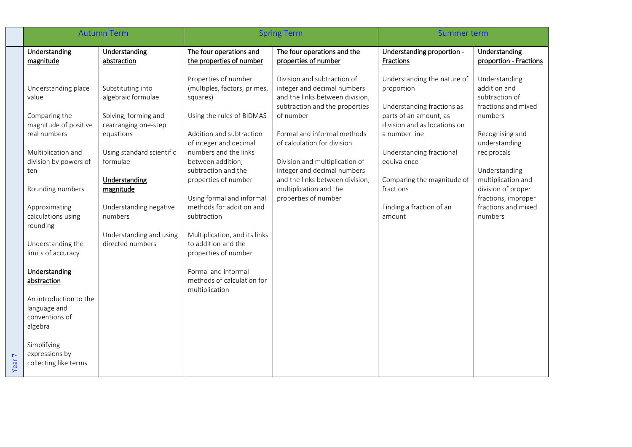|                   | <b>Autumn Term</b>                                                  |                                              | <b>Spring Term</b>                                                           |                                                                                                                                 | Summer term                                                             |                                                                        |
|-------------------|---------------------------------------------------------------------|----------------------------------------------|------------------------------------------------------------------------------|---------------------------------------------------------------------------------------------------------------------------------|-------------------------------------------------------------------------|------------------------------------------------------------------------|
|                   | Understanding<br>magnitude                                          | Understanding<br>abstraction                 | The four operations and<br>the properties of number                          | The four operations and the<br>properties of number                                                                             | Understanding proportion -<br>Fractions                                 | Understanding<br>proportion - Fractions                                |
|                   | Understanding place<br>value                                        | Substituting into<br>algebraic formulae      | Properties of number<br>(multiples, factors, primes,<br>squares)             | Division and subtraction of<br>integer and decimal numbers<br>and the links between division,<br>subtraction and the properties | Understanding the nature of<br>proportion<br>Understanding fractions as | Understanding<br>addition and<br>subtraction of<br>fractions and mixed |
|                   | Comparing the<br>magnitude of positive                              | Solving, forming and<br>rearranging one-step | Using the rules of BIDMAS                                                    | of number                                                                                                                       | parts of an amount, as<br>division and as locations on                  | numbers                                                                |
|                   | real numbers                                                        | equations                                    | Addition and subtraction<br>of integer and decimal                           | Formal and informal methods<br>of calculation for division                                                                      | a number line                                                           | Recognising and<br>understanding                                       |
|                   | Multiplication and<br>division by powers of                         | Using standard scientific<br>formulae        | numbers and the links<br>between addition,<br>subtraction and the            | Division and multiplication of<br>integer and decimal numbers                                                                   | Understanding fractional<br>equivalence                                 | reciprocals<br>Understanding                                           |
|                   | ten<br>Rounding numbers                                             | Understanding<br>magnitude                   | properties of number                                                         | and the links between division,<br>multiplication and the                                                                       | Comparing the magnitude of<br>fractions                                 | multiplication and<br>division of proper                               |
|                   | Approximating<br>calculations using<br>rounding                     | Understanding negative<br>numbers            | Using formal and informal<br>methods for addition and<br>subtraction         | properties of number                                                                                                            | Finding a fraction of an<br>amount                                      | fractions, improper<br>fractions and mixed<br>numbers                  |
|                   | Understanding the<br>limits of accuracy                             | Understanding and using<br>directed numbers  | Multiplication, and its links<br>to addition and the<br>properties of number |                                                                                                                                 |                                                                         |                                                                        |
|                   | Understanding<br>abstraction                                        |                                              | Formal and informal<br>methods of calculation for<br>multiplication          |                                                                                                                                 |                                                                         |                                                                        |
|                   | An introduction to the<br>language and<br>conventions of<br>algebra |                                              |                                                                              |                                                                                                                                 |                                                                         |                                                                        |
| Year <sub>7</sub> | Simplifying<br>expressions by<br>collecting like terms              |                                              |                                                                              |                                                                                                                                 |                                                                         |                                                                        |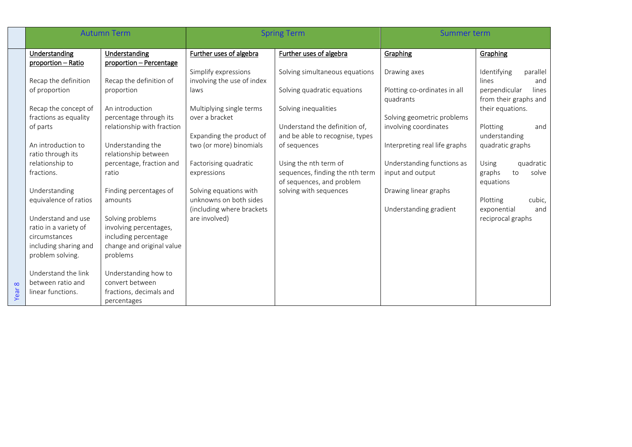|        | <b>Autumn Term</b>    |                            | <b>Spring Term</b>                               |                                 | <b>Summer term</b>            |                                         |
|--------|-----------------------|----------------------------|--------------------------------------------------|---------------------------------|-------------------------------|-----------------------------------------|
|        | Understanding         | Understanding              | Further uses of algebra                          | Further uses of algebra         | Graphing                      | Graphing                                |
|        | proportion - Ratio    | proportion - Percentage    |                                                  |                                 |                               |                                         |
|        |                       |                            | Simplify expressions                             | Solving simultaneous equations  | Drawing axes                  | Identifying<br>parallel                 |
|        | Recap the definition  | Recap the definition of    | involving the use of index                       |                                 |                               | lines<br>and                            |
|        | of proportion         | proportion                 | laws                                             | Solving quadratic equations     | Plotting co-ordinates in all  | perpendicular<br>lines                  |
|        |                       |                            |                                                  |                                 | quadrants                     | from their graphs and                   |
|        | Recap the concept of  | An introduction            | Multiplying single terms                         | Solving inequalities            |                               | their equations.                        |
|        | fractions as equality | percentage through its     | over a bracket                                   |                                 | Solving geometric problems    |                                         |
|        | of parts              | relationship with fraction |                                                  | Understand the definition of,   | involving coordinates         | Plotting<br>and                         |
|        |                       |                            | Expanding the product of                         | and be able to recognise, types |                               | understanding                           |
|        | An introduction to    | Understanding the          | two (or more) binomials                          | of sequences                    | Interpreting real life graphs | quadratic graphs                        |
|        | ratio through its     | relationship between       |                                                  |                                 |                               |                                         |
|        | relationship to       | percentage, fraction and   | Factorising quadratic                            | Using the nth term of           | Understanding functions as    | <b>Using</b><br>quadratic               |
|        | fractions.            | ratio                      | expressions                                      | sequences, finding the nth term | input and output              | to<br>graphs<br>solve                   |
|        |                       |                            |                                                  | of sequences, and problem       |                               | equations                               |
|        | Understanding         | Finding percentages of     | Solving equations with<br>unknowns on both sides | solving with sequences          | Drawing linear graphs         |                                         |
|        | equivalence of ratios | amounts                    |                                                  |                                 |                               | Plotting<br>cubic,                      |
|        | Understand and use    | Solving problems           | (including where brackets<br>are involved)       |                                 | Understanding gradient        | exponential<br>and<br>reciprocal graphs |
|        | ratio in a variety of | involving percentages,     |                                                  |                                 |                               |                                         |
|        | circumstances         | including percentage       |                                                  |                                 |                               |                                         |
|        | including sharing and | change and original value  |                                                  |                                 |                               |                                         |
|        | problem solving.      | problems                   |                                                  |                                 |                               |                                         |
|        |                       |                            |                                                  |                                 |                               |                                         |
|        | Understand the link   | Understanding how to       |                                                  |                                 |                               |                                         |
|        | between ratio and     | convert between            |                                                  |                                 |                               |                                         |
| Year 8 | linear functions.     | fractions, decimals and    |                                                  |                                 |                               |                                         |
|        |                       | percentages                |                                                  |                                 |                               |                                         |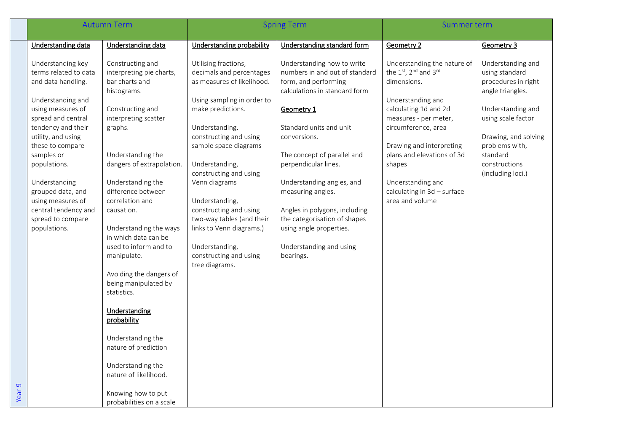|                  | <b>Autumn Term</b>                                                                                                                                                                                                                                                                                                                                     |                                                                                                                                                                                                                                                                                                                                                                                                                                                                                                                                                                                                             | <b>Spring Term</b>                                                                                                                                                                                                                                                                                                                                                                                                                     |                                                                                                                                                                                                                                                                                                                                                                                                                             | Summer term                                                                                                                                                                                                                                                                                                 |                                                                                                                                                                                                                       |
|------------------|--------------------------------------------------------------------------------------------------------------------------------------------------------------------------------------------------------------------------------------------------------------------------------------------------------------------------------------------------------|-------------------------------------------------------------------------------------------------------------------------------------------------------------------------------------------------------------------------------------------------------------------------------------------------------------------------------------------------------------------------------------------------------------------------------------------------------------------------------------------------------------------------------------------------------------------------------------------------------------|----------------------------------------------------------------------------------------------------------------------------------------------------------------------------------------------------------------------------------------------------------------------------------------------------------------------------------------------------------------------------------------------------------------------------------------|-----------------------------------------------------------------------------------------------------------------------------------------------------------------------------------------------------------------------------------------------------------------------------------------------------------------------------------------------------------------------------------------------------------------------------|-------------------------------------------------------------------------------------------------------------------------------------------------------------------------------------------------------------------------------------------------------------------------------------------------------------|-----------------------------------------------------------------------------------------------------------------------------------------------------------------------------------------------------------------------|
|                  | Understanding data                                                                                                                                                                                                                                                                                                                                     | Understanding data                                                                                                                                                                                                                                                                                                                                                                                                                                                                                                                                                                                          | Understanding probability                                                                                                                                                                                                                                                                                                                                                                                                              | Understanding standard form                                                                                                                                                                                                                                                                                                                                                                                                 | Geometry 2                                                                                                                                                                                                                                                                                                  | Geometry 3                                                                                                                                                                                                            |
| $\sigma$<br>Year | Understanding key<br>terms related to data<br>and data handling.<br>Understanding and<br>using measures of<br>spread and central<br>tendency and their<br>utility, and using<br>these to compare<br>samples or<br>populations.<br>Understanding<br>grouped data, and<br>using measures of<br>central tendency and<br>spread to compare<br>populations. | Constructing and<br>interpreting pie charts,<br>bar charts and<br>histograms.<br>Constructing and<br>interpreting scatter<br>graphs.<br>Understanding the<br>dangers of extrapolation.<br>Understanding the<br>difference between<br>correlation and<br>causation.<br>Understanding the ways<br>in which data can be<br>used to inform and to<br>manipulate.<br>Avoiding the dangers of<br>being manipulated by<br>statistics.<br>Understanding<br>probability<br>Understanding the<br>nature of prediction<br>Understanding the<br>nature of likelihood.<br>Knowing how to put<br>probabilities on a scale | Utilising fractions,<br>decimals and percentages<br>as measures of likelihood.<br>Using sampling in order to<br>make predictions.<br>Understanding,<br>constructing and using<br>sample space diagrams<br>Understanding,<br>constructing and using<br>Venn diagrams<br>Understanding,<br>constructing and using<br>two-way tables (and their<br>links to Venn diagrams.)<br>Understanding,<br>constructing and using<br>tree diagrams. | Understanding how to write<br>numbers in and out of standard<br>form, and performing<br>calculations in standard form<br>Geometry 1<br>Standard units and unit<br>conversions.<br>The concept of parallel and<br>perpendicular lines.<br>Understanding angles, and<br>measuring angles.<br>Angles in polygons, including<br>the categorisation of shapes<br>using angle properties.<br>Understanding and using<br>bearings. | Understanding the nature of<br>the 1st, 2nd and 3rd<br>dimensions.<br>Understanding and<br>calculating 1d and 2d<br>measures - perimeter,<br>circumference, area<br>Drawing and interpreting<br>plans and elevations of 3d<br>shapes<br>Understanding and<br>calculating in 3d - surface<br>area and volume | Understanding and<br>using standard<br>procedures in right<br>angle triangles.<br>Understanding and<br>using scale factor<br>Drawing, and solving<br>problems with,<br>standard<br>constructions<br>(including loci.) |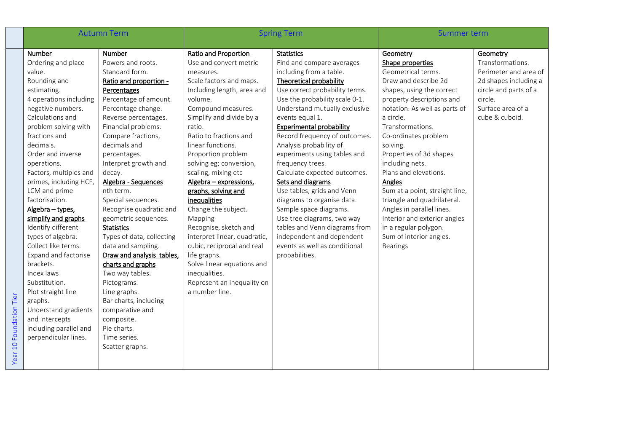| <b>Autumn Term</b>                                                                                                                                                                                                                                                                                                                                                                                                                                                                                                                                                                                                                      |                                                                                                                                                                                                                                                                                                                                                                                                                                                                                                                                                                                                                                                                                   | <b>Spring Term</b>                                                                                                                                                                                                                                                                                                                                                                                                                                                                                                                                                                                                                 |                                                                                                                                                                                                                                                                                                                                                                                                                                                                                                                                                                                                                                                                                  | Summer term                                                                                                                                                                                                                                                                                                                                                                                                                                                                                                                      |                                                                                                                                                           |
|-----------------------------------------------------------------------------------------------------------------------------------------------------------------------------------------------------------------------------------------------------------------------------------------------------------------------------------------------------------------------------------------------------------------------------------------------------------------------------------------------------------------------------------------------------------------------------------------------------------------------------------------|-----------------------------------------------------------------------------------------------------------------------------------------------------------------------------------------------------------------------------------------------------------------------------------------------------------------------------------------------------------------------------------------------------------------------------------------------------------------------------------------------------------------------------------------------------------------------------------------------------------------------------------------------------------------------------------|------------------------------------------------------------------------------------------------------------------------------------------------------------------------------------------------------------------------------------------------------------------------------------------------------------------------------------------------------------------------------------------------------------------------------------------------------------------------------------------------------------------------------------------------------------------------------------------------------------------------------------|----------------------------------------------------------------------------------------------------------------------------------------------------------------------------------------------------------------------------------------------------------------------------------------------------------------------------------------------------------------------------------------------------------------------------------------------------------------------------------------------------------------------------------------------------------------------------------------------------------------------------------------------------------------------------------|----------------------------------------------------------------------------------------------------------------------------------------------------------------------------------------------------------------------------------------------------------------------------------------------------------------------------------------------------------------------------------------------------------------------------------------------------------------------------------------------------------------------------------|-----------------------------------------------------------------------------------------------------------------------------------------------------------|
| Number<br>Ordering and place<br>value.<br>Rounding and<br>estimating.<br>4 operations including<br>negative numbers.<br>Calculations and<br>problem solving with<br>fractions and<br>decimals.<br>Order and inverse<br>operations.<br>Factors, multiples and<br>primes, including HCF,<br>LCM and prime<br>factorisation.<br>Algebra - types,<br>simplify and graphs<br>Identify different<br>types of algebra.<br>Collect like terms.<br>Expand and factorise<br>brackets.<br>Index laws<br>Substitution.<br>Plot straight line<br>graphs.<br>Understand gradients<br>and intercepts<br>including parallel and<br>perpendicular lines. | Number<br>Powers and roots.<br>Standard form.<br>Ratio and proportion -<br>Percentages<br>Percentage of amount.<br>Percentage change.<br>Reverse percentages.<br>Financial problems.<br>Compare fractions,<br>decimals and<br>percentages.<br>Interpret growth and<br>decay.<br>Algebra - Sequences<br>nth term.<br>Special sequences.<br>Recognise quadratic and<br>geometric sequences.<br><b>Statistics</b><br>Types of data, collecting<br>data and sampling.<br>Draw and analysis tables,<br>charts and graphs<br>Two way tables.<br>Pictograms.<br>Line graphs.<br>Bar charts, including<br>comparative and<br>composite.<br>Pie charts.<br>Time series.<br>Scatter graphs. | <b>Ratio and Proportion</b><br>Use and convert metric<br>measures.<br>Scale factors and maps.<br>Including length, area and<br>volume.<br>Compound measures.<br>Simplify and divide by a<br>ratio.<br>Ratio to fractions and<br>linear functions.<br>Proportion problem<br>solving eg; conversion,<br>scaling, mixing etc<br>Algebra - expressions,<br>graphs, solving and<br>inequalities<br>Change the subject.<br>Mapping<br>Recognise, sketch and<br>interpret linear, quadratic,<br>cubic, reciprocal and real<br>life graphs.<br>Solve linear equations and<br>inequalities.<br>Represent an inequality on<br>a number line. | <b>Statistics</b><br>Find and compare averages<br>including from a table.<br><b>Theoretical probability</b><br>Use correct probability terms.<br>Use the probability scale 0-1.<br>Understand mutually exclusive<br>events equal 1.<br><b>Experimental probability</b><br>Record frequency of outcomes.<br>Analysis probability of<br>experiments using tables and<br>frequency trees.<br>Calculate expected outcomes.<br>Sets and diagrams<br>Use tables, grids and Venn<br>diagrams to organise data.<br>Sample space diagrams.<br>Use tree diagrams, two way<br>tables and Venn diagrams from<br>independent and dependent<br>events as well as conditional<br>probabilities. | Geometry<br>Shape properties<br>Geometrical terms.<br>Draw and describe 2d<br>shapes, using the correct<br>property descriptions and<br>notation. As well as parts of<br>a circle.<br>Transformations.<br>Co-ordinates problem<br>solving.<br>Properties of 3d shapes<br>including nets.<br>Plans and elevations.<br>Angles<br>Sum at a point, straight line,<br>triangle and quadrilateral.<br>Angles in parallel lines.<br>Interior and exterior angles<br>in a regular polygon.<br>Sum of interior angles.<br><b>Bearings</b> | Geometry<br>Transformations.<br>Perimeter and area of<br>2d shapes including a<br>circle and parts of a<br>circle.<br>Surface area of a<br>cube & cuboid. |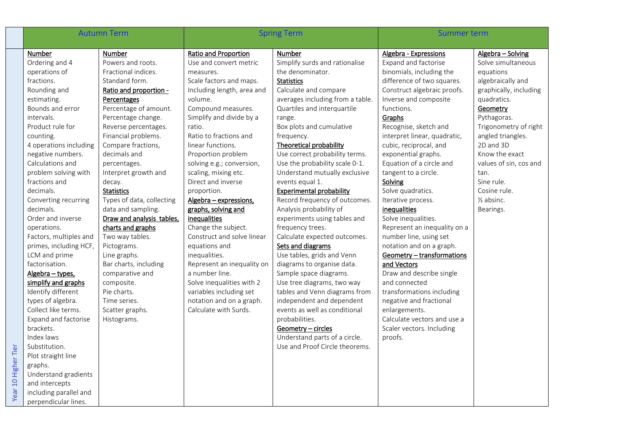|                     |                        | <b>Autumn Term</b>        |                             | <b>Spring Term</b>               |                              | Summer term            |  |
|---------------------|------------------------|---------------------------|-----------------------------|----------------------------------|------------------------------|------------------------|--|
|                     | Number                 | Number                    | <b>Ratio and Proportion</b> | Number                           | Algebra - Expressions        | Algebra - Solving      |  |
|                     | Ordering and 4         | Powers and roots.         | Use and convert metric      | Simplify surds and rationalise   | Expand and factorise         | Solve simultaneous     |  |
|                     | operations of          | Fractional indices.       | measures.                   | the denominator.                 | binomials, including the     | equations              |  |
|                     | fractions.             | Standard form.            | Scale factors and maps.     | <b>Statistics</b>                | difference of two squares.   | algebraically and      |  |
|                     | Rounding and           | Ratio and proportion -    | Including length, area and  | Calculate and compare            | Construct algebraic proofs.  | graphically, including |  |
|                     | estimating.            | Percentages               | volume.                     | averages including from a table. | Inverse and composite        | quadratics.            |  |
|                     | Bounds and error       | Percentage of amount.     | Compound measures.          | Quartiles and interquartile      | functions.                   | Geometry               |  |
|                     | intervals.             | Percentage change.        | Simplify and divide by a    | range.                           | Graphs                       | Pythagoras.            |  |
|                     | Product rule for       | Reverse percentages.      | ratio.                      | Box plots and cumulative         | Recognise, sketch and        | Trigonometry of right  |  |
|                     | counting.              | Financial problems.       | Ratio to fractions and      | frequency.                       | interpret linear, quadratic, | angled triangles.      |  |
|                     | 4 operations including | Compare fractions,        | linear functions.           | <b>Theoretical probability</b>   | cubic, reciprocal, and       | 2D and 3D              |  |
|                     | negative numbers.      | decimals and              | Proportion problem          | Use correct probability terms.   | exponential graphs.          | Know the exact         |  |
|                     | Calculations and       | percentages.              | solving e.g.; conversion,   | Use the probability scale 0-1.   | Equation of a circle and     | values of sin, cos and |  |
|                     | problem solving with   | Interpret growth and      | scaling, mixing etc.        | Understand mutually exclusive    | tangent to a circle.         | tan.                   |  |
|                     | fractions and          | decay.                    | Direct and inverse          | events equal 1.                  | Solving                      | Sine rule.             |  |
|                     | decimals.              | <b>Statistics</b>         | proportion.                 | <b>Experimental probability</b>  | Solve quadratics.            | Cosine rule.           |  |
|                     | Converting recurring   | Types of data, collecting | Algebra - expressions,      | Record frequency of outcomes.    | Iterative process.           | $\frac{1}{2}$ absinc.  |  |
|                     | decimals.              | data and sampling.        | graphs, solving and         | Analysis probability of          | inequalities                 | Bearings.              |  |
|                     | Order and inverse      | Draw and analysis tables, | inequalities                | experiments using tables and     | Solve inequalities.          |                        |  |
|                     | operations.            | charts and graphs         | Change the subject.         | frequency trees.                 | Represent an inequality on a |                        |  |
|                     | Factors, multiples and | Two way tables.           | Construct and solve linear  | Calculate expected outcomes.     | number line, using set       |                        |  |
|                     | primes, including HCF, | Pictograms.               | equations and               | Sets and diagrams                | notation and on a graph.     |                        |  |
|                     | LCM and prime          | Line graphs.              | inequalities.               | Use tables, grids and Venn       | Geometry - transformations   |                        |  |
|                     | factorisation.         | Bar charts, including     | Represent an inequality on  | diagrams to organise data.       | and Vectors                  |                        |  |
|                     | Algebra - types,       | comparative and           | a number line.              | Sample space diagrams.           | Draw and describe single     |                        |  |
|                     | simplify and graphs    | composite.                | Solve inequalities with 2   | Use tree diagrams, two way       | and connected                |                        |  |
|                     | Identify different     | Pie charts.               | variables including set     | tables and Venn diagrams from    | transformations including    |                        |  |
|                     | types of algebra.      | Time series.              | notation and on a graph.    | independent and dependent        | negative and fractional      |                        |  |
|                     | Collect like terms.    | Scatter graphs.           | Calculate with Surds.       | events as well as conditional    | enlargements.                |                        |  |
|                     | Expand and factorise   | Histograms.               |                             | probabilities.                   | Calculate vectors and use a  |                        |  |
|                     | brackets.              |                           |                             | Geometry - circles               | Scaler vectors. Including    |                        |  |
|                     | Index laws             |                           |                             | Understand parts of a circle.    | proofs.                      |                        |  |
|                     | Substitution.          |                           |                             | Use and Proof Circle theorems.   |                              |                        |  |
| Year 10 Higher Tier | Plot straight line     |                           |                             |                                  |                              |                        |  |
|                     | graphs.                |                           |                             |                                  |                              |                        |  |
|                     | Understand gradients   |                           |                             |                                  |                              |                        |  |
|                     | and intercepts         |                           |                             |                                  |                              |                        |  |
|                     | including parallel and |                           |                             |                                  |                              |                        |  |
|                     | perpendicular lines.   |                           |                             |                                  |                              |                        |  |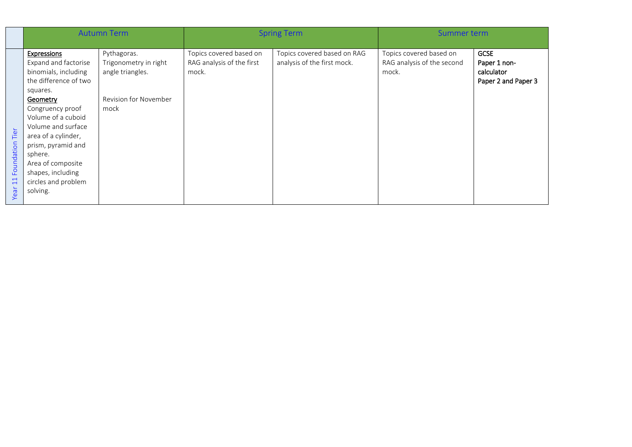|                                     | <b>Autumn Term</b>                                                                                                                                                                                                                                                                                                |                                                                                           | <b>Spring Term</b>                                            |                                                            | Summer term                                                    |                                                                  |
|-------------------------------------|-------------------------------------------------------------------------------------------------------------------------------------------------------------------------------------------------------------------------------------------------------------------------------------------------------------------|-------------------------------------------------------------------------------------------|---------------------------------------------------------------|------------------------------------------------------------|----------------------------------------------------------------|------------------------------------------------------------------|
| Tier<br>Foundation<br>$\Xi$<br>Year | Expressions<br>Expand and factorise<br>binomials, including<br>the difference of two<br>squares.<br>Geometry<br>Congruency proof<br>Volume of a cuboid<br>Volume and surface<br>area of a cylinder,<br>prism, pyramid and<br>sphere.<br>Area of composite<br>shapes, including<br>circles and problem<br>solving. | Pythagoras.<br>Trigonometry in right<br>angle triangles.<br>Revision for November<br>mock | Topics covered based on<br>RAG analysis of the first<br>mock. | Topics covered based on RAG<br>analysis of the first mock. | Topics covered based on<br>RAG analysis of the second<br>mock. | <b>GCSE</b><br>Paper 1 non-<br>calculator<br>Paper 2 and Paper 3 |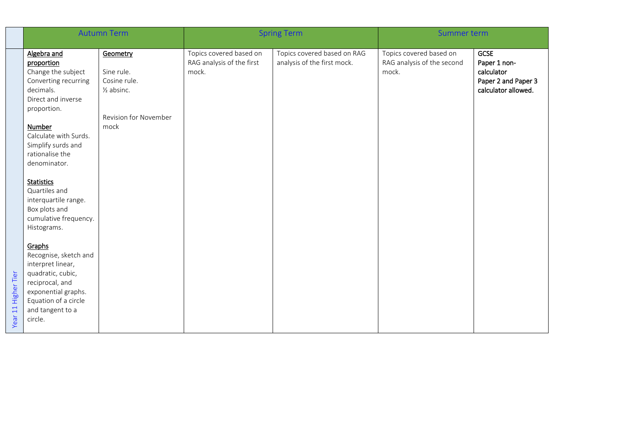|                     | <b>Autumn Term</b>                                                                                                                                                         |                                                                 | <b>Spring Term</b>                                            |                                                            | Summer term                                                    |                                                                                         |
|---------------------|----------------------------------------------------------------------------------------------------------------------------------------------------------------------------|-----------------------------------------------------------------|---------------------------------------------------------------|------------------------------------------------------------|----------------------------------------------------------------|-----------------------------------------------------------------------------------------|
|                     | Algebra and<br>proportion<br>Change the subject<br>Converting recurring<br>decimals.<br>Direct and inverse<br>proportion.                                                  | Geometry<br>Sine rule.<br>Cosine rule.<br>$\frac{1}{2}$ absinc. | Topics covered based on<br>RAG analysis of the first<br>mock. | Topics covered based on RAG<br>analysis of the first mock. | Topics covered based on<br>RAG analysis of the second<br>mock. | <b>GCSE</b><br>Paper 1 non-<br>calculator<br>Paper 2 and Paper 3<br>calculator allowed. |
|                     | Number<br>Calculate with Surds.<br>Simplify surds and<br>rationalise the<br>denominator.                                                                                   | <b>Revision for November</b><br>mock                            |                                                               |                                                            |                                                                |                                                                                         |
|                     | <b>Statistics</b><br>Quartiles and<br>interquartile range.<br>Box plots and<br>cumulative frequency.<br>Histograms.                                                        |                                                                 |                                                               |                                                            |                                                                |                                                                                         |
| Year 11 Higher Tier | Graphs<br>Recognise, sketch and<br>interpret linear,<br>quadratic, cubic,<br>reciprocal, and<br>exponential graphs.<br>Equation of a circle<br>and tangent to a<br>circle. |                                                                 |                                                               |                                                            |                                                                |                                                                                         |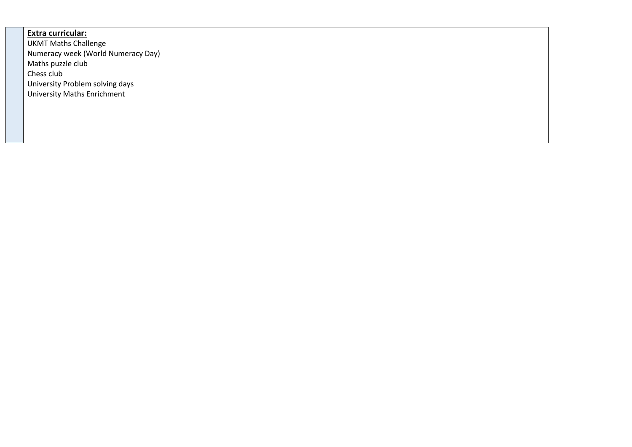## **Extra curricular:**

UKMT Maths Challenge Numeracy week (World Numeracy Day) Maths puzzle club Chess club University Problem solving days University Maths Enrichment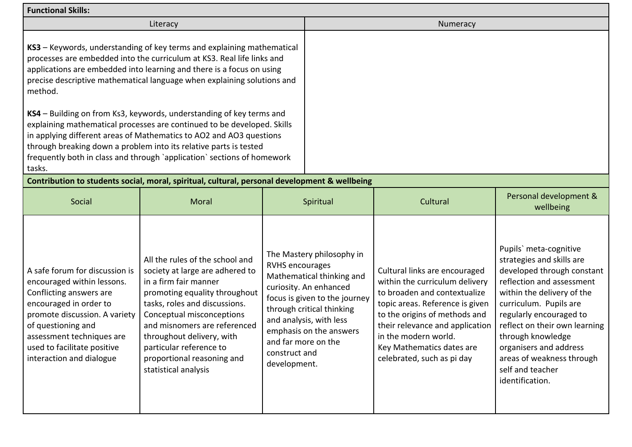| <b>Functional Skills:</b>                                                                                                                                                                                                                                        |                                                                                                                                                                                                                                                                                                                                                                        |                                                                                                                                                                                                                                                                                        |  |                                                                                                                                                                                                                                                                                           |                                                                                                                                                                                                                                                                                                                                                       |  |  |
|------------------------------------------------------------------------------------------------------------------------------------------------------------------------------------------------------------------------------------------------------------------|------------------------------------------------------------------------------------------------------------------------------------------------------------------------------------------------------------------------------------------------------------------------------------------------------------------------------------------------------------------------|----------------------------------------------------------------------------------------------------------------------------------------------------------------------------------------------------------------------------------------------------------------------------------------|--|-------------------------------------------------------------------------------------------------------------------------------------------------------------------------------------------------------------------------------------------------------------------------------------------|-------------------------------------------------------------------------------------------------------------------------------------------------------------------------------------------------------------------------------------------------------------------------------------------------------------------------------------------------------|--|--|
|                                                                                                                                                                                                                                                                  | Literacy                                                                                                                                                                                                                                                                                                                                                               |                                                                                                                                                                                                                                                                                        |  | Numeracy                                                                                                                                                                                                                                                                                  |                                                                                                                                                                                                                                                                                                                                                       |  |  |
| method.                                                                                                                                                                                                                                                          | KS3 - Keywords, understanding of key terms and explaining mathematical<br>processes are embedded into the curriculum at KS3. Real life links and<br>applications are embedded into learning and there is a focus on using<br>precise descriptive mathematical language when explaining solutions and                                                                   |                                                                                                                                                                                                                                                                                        |  |                                                                                                                                                                                                                                                                                           |                                                                                                                                                                                                                                                                                                                                                       |  |  |
| tasks.                                                                                                                                                                                                                                                           | KS4 - Building on from Ks3, keywords, understanding of key terms and<br>explaining mathematical processes are continued to be developed. Skills<br>in applying different areas of Mathematics to AO2 and AO3 questions<br>through breaking down a problem into its relative parts is tested<br>frequently both in class and through `application` sections of homework |                                                                                                                                                                                                                                                                                        |  |                                                                                                                                                                                                                                                                                           |                                                                                                                                                                                                                                                                                                                                                       |  |  |
|                                                                                                                                                                                                                                                                  | Contribution to students social, moral, spiritual, cultural, personal development & wellbeing                                                                                                                                                                                                                                                                          |                                                                                                                                                                                                                                                                                        |  |                                                                                                                                                                                                                                                                                           |                                                                                                                                                                                                                                                                                                                                                       |  |  |
| Social                                                                                                                                                                                                                                                           | Moral                                                                                                                                                                                                                                                                                                                                                                  | Spiritual                                                                                                                                                                                                                                                                              |  | Cultural                                                                                                                                                                                                                                                                                  | Personal development &<br>wellbeing                                                                                                                                                                                                                                                                                                                   |  |  |
| A safe forum for discussion is<br>encouraged within lessons.<br>Conflicting answers are<br>encouraged in order to<br>promote discussion. A variety<br>of questioning and<br>assessment techniques are<br>used to facilitate positive<br>interaction and dialogue | All the rules of the school and<br>society at large are adhered to<br>in a firm fair manner<br>promoting equality throughout<br>tasks, roles and discussions.<br>Conceptual misconceptions<br>and misnomers are referenced<br>throughout delivery, with<br>particular reference to<br>proportional reasoning and<br>statistical analysis                               | The Mastery philosophy in<br><b>RVHS encourages</b><br>Mathematical thinking and<br>curiosity. An enhanced<br>focus is given to the journey<br>through critical thinking<br>and analysis, with less<br>emphasis on the answers<br>and far more on the<br>construct and<br>development. |  | Cultural links are encouraged<br>within the curriculum delivery<br>to broaden and contextualize<br>topic areas. Reference is given<br>to the origins of methods and<br>their relevance and application<br>in the modern world.<br>Key Mathematics dates are<br>celebrated, such as pi day | Pupils' meta-cognitive<br>strategies and skills are<br>developed through constant<br>reflection and assessment<br>within the delivery of the<br>curriculum. Pupils are<br>regularly encouraged to<br>reflect on their own learning<br>through knowledge<br>organisers and address<br>areas of weakness through<br>self and teacher<br>identification. |  |  |